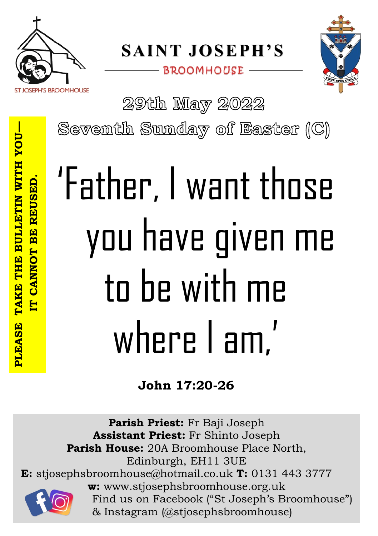

**SAINT JOSEPH'S** 

**BROOMHOUSE** 



29th May 2022

Seventh Sunday of Easter (C)

# 'Father, I want those you have given me to be with me where I am,'

**John 17:20-26**

**Parish Priest:** Fr Baji Joseph **Assistant Priest:** Fr Shinto Joseph **Parish House:** 20A Broomhouse Place North, Edinburgh, EH11 3UE **E:** stjosephsbroomhouse@hotmail.co.uk **T:** 0131 443 3777 **w:** www.stjosephsbroomhouse.org.uk Find us on Facebook ("St Joseph's Broomhouse") & Instagram (@stjosephsbroomhouse)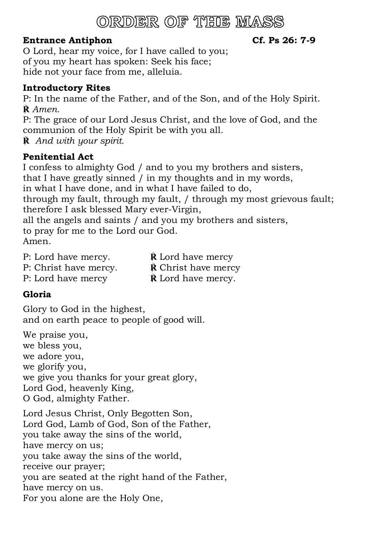## ORDER OF THE MASS

### **Entrance Antiphon Cf. Ps 26: 7-9**

O Lord, hear my voice, for I have called to you; of you my heart has spoken: Seek his face; hide not your face from me, alleluia.

### **Introductory Rites**

P: In the name of the Father, and of the Son, and of the Holy Spirit. **℟** *Amen.*

P: The grace of our Lord Jesus Christ, and the love of God, and the communion of the Holy Spirit be with you all.

**℟** *And with your spirit.*

### **Penitential Act**

I confess to almighty God / and to you my brothers and sisters, that I have greatly sinned / in my thoughts and in my words, in what I have done, and in what I have failed to do,

through my fault, through my fault, / through my most grievous fault; therefore I ask blessed Mary ever-Virgin,

all the angels and saints / and you my brothers and sisters, to pray for me to the Lord our God. Amen.

| P: Lord have mercy.   | <b>R</b> Lord have mercy            |
|-----------------------|-------------------------------------|
| P: Christ have mercy. | <b>R</b> Christ have mercy          |
| P: Lord have mercy    | $\dot{\mathbb{R}}$ Lord have mercy. |

### **Gloria**

Glory to God in the highest, and on earth peace to people of good will.

We praise you, we bless you, we adore you, we glorify you, we give you thanks for your great glory, Lord God, heavenly King, O God, almighty Father.

Lord Jesus Christ, Only Begotten Son, Lord God, Lamb of God, Son of the Father, you take away the sins of the world, have mercy on us; you take away the sins of the world, receive our prayer; you are seated at the right hand of the Father, have mercy on us. For you alone are the Holy One,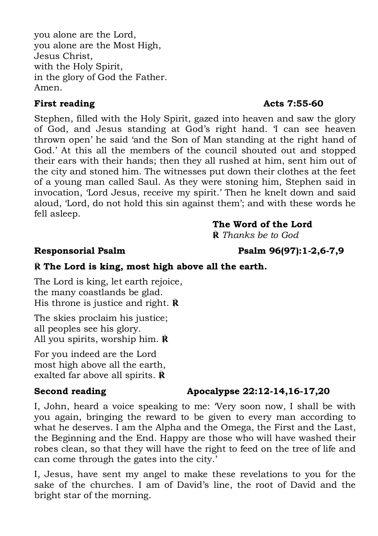you alone are the Lord, you alone are the Most High, Jesus Christ, with the Holy Spirit, in the glory of God the Father. Amen.

### **First reading Acts 7:55-60**

Stephen, filled with the Holy Spirit, gazed into heaven and saw the glory of God, and Jesus standing at God's right hand. 'I can see heaven thrown open' he said 'and the Son of Man standing at the right hand of God.' At this all the members of the council shouted out and stopped their ears with their hands; then they all rushed at him, sent him out of the city and stoned him. The witnesses put down their clothes at the feet of a young man called Saul. As they were stoning him, Stephen said in invocation, 'Lord Jesus, receive my spirit.' Then he knelt down and said aloud, 'Lord, do not hold this sin against them'; and with these words he fell asleep.

### **The Word of the Lord**

**℟** *Thanks be to God*

### **℟ The Lord is king, most high above all the earth.**

The Lord is king, let earth rejoice, the many coastlands be glad. His throne is justice and right. **℟**

The skies proclaim his justice; all peoples see his glory. All you spirits, worship him. **℟**

For you indeed are the Lord most high above all the earth, exalted far above all spirits. **℟**

### **Second reading Apocalypse 22:12-14,16-17,20**

I, John, heard a voice speaking to me: 'Very soon now, I shall be with you again, bringing the reward to be given to every man according to what he deserves. I am the Alpha and the Omega, the First and the Last, the Beginning and the End. Happy are those who will have washed their robes clean, so that they will have the right to feed on the tree of life and can come through the gates into the city.'

I, Jesus, have sent my angel to make these revelations to you for the sake of the churches. I am of David's line, the root of David and the bright star of the morning.

**Responsorial Psalm Psalm 96(97):1-2,6-7,9**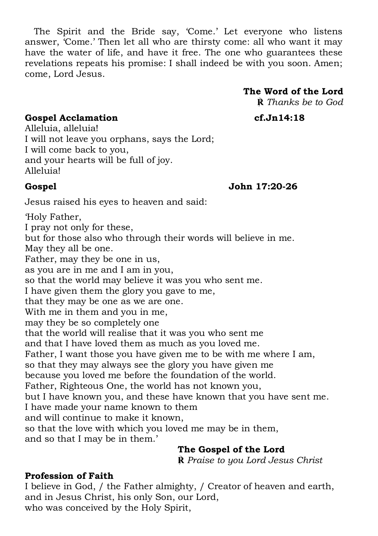The Spirit and the Bride say, 'Come.' Let everyone who listens answer, 'Come.' Then let all who are thirsty come: all who want it may have the water of life, and have it free. The one who guarantees these revelations repeats his promise: I shall indeed be with you soon. Amen; come, Lord Jesus.

### **The Word of the Lord**

**℟** *Thanks be to God*

**Gospel Acclamation cf.Jn14:18**

Alleluia, alleluia! I will not leave you orphans, says the Lord; I will come back to you, and your hearts will be full of joy. Alleluia!

**Gospel John 17:20-26**

Jesus raised his eyes to heaven and said:

'Holy Father, I pray not only for these, but for those also who through their words will believe in me. May they all be one. Father, may they be one in us, as you are in me and I am in you, so that the world may believe it was you who sent me. I have given them the glory you gave to me, that they may be one as we are one. With me in them and you in me, may they be so completely one that the world will realise that it was you who sent me and that I have loved them as much as you loved me. Father, I want those you have given me to be with me where I am, so that they may always see the glory you have given me because you loved me before the foundation of the world. Father, Righteous One, the world has not known you, but I have known you, and these have known that you have sent me. I have made your name known to them and will continue to make it known, so that the love with which you loved me may be in them, and so that I may be in them.'

### **The Gospel of the Lord**

**℟** *Praise to you Lord Jesus Christ*

### **Profession of Faith**

I believe in God, / the Father almighty, / Creator of heaven and earth, and in Jesus Christ, his only Son, our Lord, who was conceived by the Holy Spirit,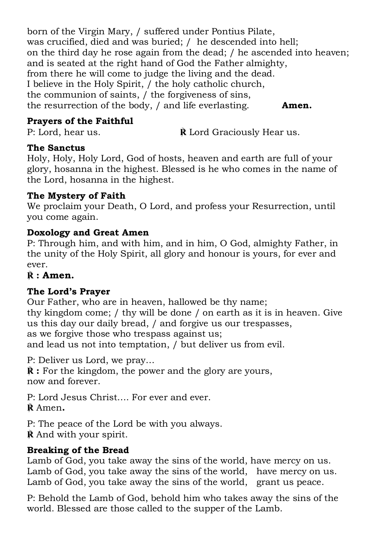born of the Virgin Mary, / suffered under Pontius Pilate, was crucified, died and was buried; / he descended into hell; on the third day he rose again from the dead; / he ascended into heaven; and is seated at the right hand of God the Father almighty, from there he will come to judge the living and the dead. I believe in the Holy Spirit, / the holy catholic church, the communion of saints, / the forgiveness of sins, the resurrection of the body, / and life everlasting. **Amen.**

### **Prayers of the Faithful**

P: Lord, hear us. **R** Lord Graciously Hear us.

### **The Sanctus**

Holy, Holy, Holy Lord, God of hosts, heaven and earth are full of your glory, hosanna in the highest. Blessed is he who comes in the name of the Lord, hosanna in the highest.

### **The Mystery of Faith**

We proclaim your Death, O Lord, and profess your Resurrection, until you come again.

### **Doxology and Great Amen**

P: Through him, and with him, and in him, O God, almighty Father, in the unity of the Holy Spirit, all glory and honour is yours, for ever and ever.

### **℟ : Amen.**

### **The Lord's Prayer**

Our Father, who are in heaven, hallowed be thy name; thy kingdom come; / thy will be done / on earth as it is in heaven. Give us this day our daily bread, / and forgive us our trespasses, as we forgive those who trespass against us; and lead us not into temptation, / but deliver us from evil.

P: Deliver us Lord, we pray…

 $\mathbf{\vec{R}}$  : For the kingdom, the power and the glory are yours, now and forever.

P: Lord Jesus Christ…. For ever and ever.

**℟** Amen**.**

P: The peace of the Lord be with you always. **℟** And with your spirit.

### **Breaking of the Bread**

Lamb of God, you take away the sins of the world, have mercy on us. Lamb of God, you take away the sins of the world, have mercy on us. Lamb of God, you take away the sins of the world, grant us peace.

P: Behold the Lamb of God, behold him who takes away the sins of the world. Blessed are those called to the supper of the Lamb.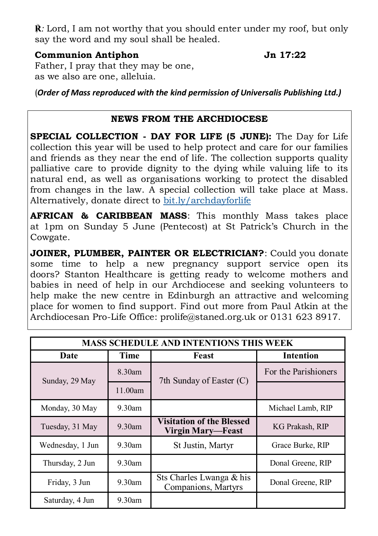**℟***:* Lord, I am not worthy that you should enter under my roof, but only say the word and my soul shall be healed.

### **Communion Antiphon Jn 17:22**

Father, I pray that they may be one, as we also are one, alleluia.

(*Order of Mass reproduced with the kind permission of Universalis Publishing Ltd.)*

### **NEWS FROM THE ARCHDIOCESE**

**SPECIAL COLLECTION - DAY FOR LIFE (5 JUNE):** The Day for Life collection this year will be used to help protect and care for our families and friends as they near the end of life. The collection supports quality palliative care to provide dignity to the dying while valuing life to its natural end, as well as organisations working to protect the disabled from changes in the law. A special collection will take place at Mass. Alternatively, donate direct to <bit.ly/archdayforlife>

**AFRICAN & CARIBBEAN MASS**: This monthly Mass takes place at 1pm on Sunday 5 June (Pentecost) at St Patrick's Church in the Cowgate.

**JOINER, PLUMBER, PAINTER OR ELECTRICIAN?**: Could you donate some time to help a new pregnancy support service open its doors? Stanton Healthcare is getting ready to welcome mothers and babies in need of help in our Archdiocese and seeking volunteers to help make the new centre in Edinburgh an attractive and welcoming place for women to find support. Find out more from Paul Atkin at the Archdiocesan Pro-Life Office: prolife@staned.org.uk or 0131 623 8917.

| <b>MASS SCHEDULE AND INTENTIONS THIS WEEK</b> |           |                                                              |                      |
|-----------------------------------------------|-----------|--------------------------------------------------------------|----------------------|
| Date                                          | Time      | Feast                                                        | <b>Intention</b>     |
| Sunday, 29 May                                | $8.30$ am | 7th Sunday of Easter (C)                                     | For the Parishioners |
|                                               | 11.00am   |                                                              |                      |
| Monday, 30 May                                | $9.30$ am |                                                              | Michael Lamb, RIP    |
| Tuesday, 31 May                               | $9.30$ am | <b>Visitation of the Blessed</b><br><b>Virgin Mary—Feast</b> | KG Prakash, RIP      |
| Wednesday, 1 Jun                              | $9.30$ am | St Justin, Martyr                                            | Grace Burke, RIP     |
| Thursday, 2 Jun                               | $9.30$ am |                                                              | Donal Greene, RIP    |
| Friday, 3 Jun                                 | $9.30$ am | Sts Charles Lwanga & his<br>Companions, Martyrs              | Donal Greene, RIP    |
| Saturday, 4 Jun                               | $9.30$ am |                                                              |                      |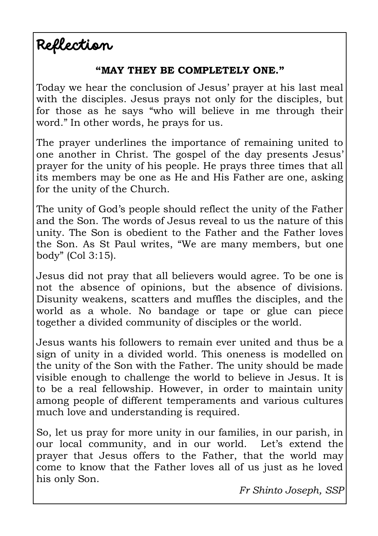Reflection

### **"MAY THEY BE COMPLETELY ONE."**

Today we hear the conclusion of Jesus' prayer at his last meal with the disciples. Jesus prays not only for the disciples, but for those as he says "who will believe in me through their word." In other words, he prays for us.

The prayer underlines the importance of remaining united to one another in Christ. The gospel of the day presents Jesus' prayer for the unity of his people. He prays three times that all its members may be one as He and His Father are one, asking for the unity of the Church.

The unity of God's people should reflect the unity of the Father and the Son. The words of Jesus reveal to us the nature of this unity. The Son is obedient to the Father and the Father loves the Son. As St Paul writes, "We are many members, but one body" (Col 3:15).

Jesus did not pray that all believers would agree. To be one is not the absence of opinions, but the absence of divisions. Disunity weakens, scatters and muffles the disciples, and the world as a whole. No bandage or tape or glue can piece together a divided community of disciples or the world.

Jesus wants his followers to remain ever united and thus be a sign of unity in a divided world. This oneness is modelled on the unity of the Son with the Father. The unity should be made visible enough to challenge the world to believe in Jesus. It is to be a real fellowship. However, in order to maintain unity among people of different temperaments and various cultures much love and understanding is required.

So, let us pray for more unity in our families, in our parish, in our local community, and in our world. Let's extend the prayer that Jesus offers to the Father, that the world may come to know that the Father loves all of us just as he loved his only Son.

*Fr Shinto Joseph, SSP*